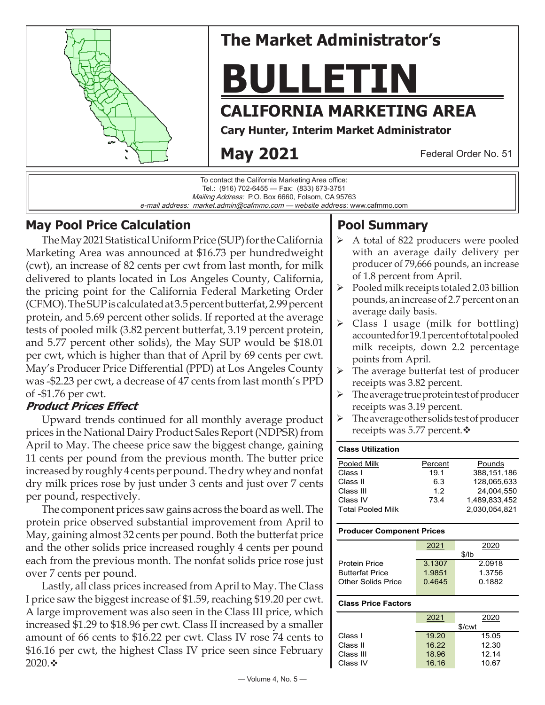

# **The Market Administrator's**

**BULLETIN**

# **CALIFORNIA MARKETING AREA**

**Cary Hunter, Interim Market Administrator**

**May 2021**

Federal Order No. 51



## **May Pool Price Calculation**

The May 2021 Statistical Uniform Price (SUP) for the California Marketing Area was announced at \$16.73 per hundredweight (cwt), an increase of 82 cents per cwt from last month, for milk delivered to plants located in Los Angeles County, California, the pricing point for the California Federal Marketing Order (CFMO). The SUP is calculated at 3.5 percent butterfat, 2.99 percent protein, and 5.69 percent other solids. If reported at the average tests of pooled milk (3.82 percent butterfat, 3.19 percent protein, and 5.77 percent other solids), the May SUP would be \$18.01 per cwt, which is higher than that of April by 69 cents per cwt. May's Producer Price Differential (PPD) at Los Angeles County was -\$2.23 per cwt, a decrease of 47 cents from last month's PPD of -\$1.76 per cwt.

### **Product Prices Effect**

Upward trends continued for all monthly average product prices in the National Dairy Product Sales Report (NDPSR) from April to May. The cheese price saw the biggest change, gaining 11 cents per pound from the previous month. The butter price increased by roughly 4 cents per pound. The dry whey and nonfat dry milk prices rose by just under 3 cents and just over 7 cents per pound, respectively.

The component prices saw gains across the board as well. The protein price observed substantial improvement from April to May, gaining almost 32 cents per pound. Both the butterfat price and the other solids price increased roughly 4 cents per pound each from the previous month. The nonfat solids price rose just over 7 cents per pound.

Lastly, all class prices increased from April to May. The Class I price saw the biggest increase of \$1.59, reaching \$19.20 per cwt. A large improvement was also seen in the Class III price, which increased \$1.29 to \$18.96 per cwt. Class II increased by a smaller amount of 66 cents to \$16.22 per cwt. Class IV rose 74 cents to \$16.16 per cwt, the highest Class IV price seen since February 2020. $\cdot$ 

# **Pool Summary**

- $\triangleright$  A total of 822 producers were pooled with an average daily delivery per producer of 79,666 pounds, an increase of 1.8 percent from April.
- $\triangleright$  Pooled milk receipts totaled 2.03 billion pounds, an increase of 2.7 percent on an average daily basis.
- Class I usage (milk for bottling) accounted for 19.1 percent of total pooled milk receipts, down 2.2 percentage points from April.
- $\triangleright$  The average butterfat test of producer receipts was 3.82 percent.
- $\triangleright$  The average true protein test of producer receipts was 3.19 percent.
- $\triangleright$  The average other solids test of producer receipts was 5.77 percent. $\mathbf{\hat{v}}$

#### **Class Utilization** Pooled Milk **Percent** Pounds Class I 19.1 388,151,186 Class II 6.3 128,065,633 Class III 1.2 24,004,550 Class IV 73.4 1,489,833,452 Total Pooled Milk 2,030,054,821

#### **Producer Component Prices**

|                           | 2021   | 2020   |  |  |
|---------------------------|--------|--------|--|--|
|                           | \$/lb  |        |  |  |
| <b>Protein Price</b>      | 3.1307 | 2.0918 |  |  |
| <b>Butterfat Price</b>    | 1.9851 | 1.3756 |  |  |
| <b>Other Solids Price</b> | 0.4645 | 0.1882 |  |  |
|                           |        |        |  |  |

#### **Class Price Factors**

|           | 2021               | 2020  |  |  |
|-----------|--------------------|-------|--|--|
|           | \$/ <sub>cut</sub> |       |  |  |
| Class I   | 19.20              | 15.05 |  |  |
| Class II  | 16.22              | 12.30 |  |  |
| Class III | 18.96              | 12.14 |  |  |
| Class IV  | 16.16              | 10.67 |  |  |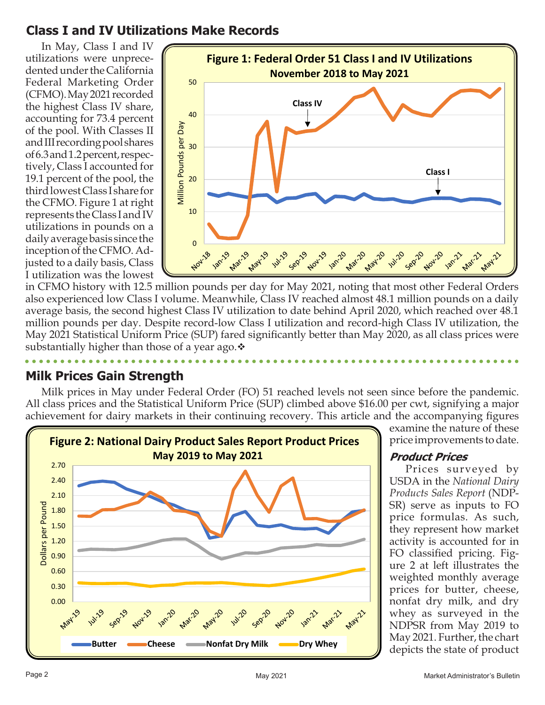## **Class I and IV Utilizations Make Records**

In May, Class I and IV utilizations were unprecedented under the California Federal Marketing Order (CFMO). May 2021 recorded the highest Class IV share, accounting for 73.4 percent of the pool. With Classes II and III recording pool shares of 6.3 and 1.2 percent, respectively, Class I accounted for 19.1 percent of the pool, the third lowest Class I share for the CFMO. Figure 1 at right represents the Class I and IV utilizations in pounds on a daily average basis since the inception of the CFMO. Adjusted to a daily basis, Class I utilization was the lowest



in CFMO history with 12.5 million pounds per day for May 2021, noting that most other Federal Orders also experienced low Class I volume. Meanwhile, Class IV reached almost 48.1 million pounds on a daily average basis, the second highest Class IV utilization to date behind April 2020, which reached over 48.1 million pounds per day. Despite record-low Class I utilization and record-high Class IV utilization, the May 2021 Statistical Uniform Price (SUP) fared significantly better than May 2020, as all class prices were substantially higher than those of a year ago. $\cdot$ 

### **Milk Prices Gain Strength**

Milk prices in May under Federal Order (FO) 51 reached levels not seen since before the pandemic. All class prices and the Statistical Uniform Price (SUP) climbed above \$16.00 per cwt, signifying a major achievement for dairy markets in their continuing recovery. This article and the accompanying figures



examine the nature of these price improvements to date.

#### **Product Prices**

Prices surveyed by USDA in the *National Dairy Products Sales Report* (NDP-SR) serve as inputs to FO price formulas. As such, they represent how market activity is accounted for in FO classified pricing. Figure 2 at left illustrates the weighted monthly average prices for butter, cheese, nonfat dry milk, and dry whey as surveyed in the NDPSR from May 2019 to May 2021. Further, the chart depicts the state of product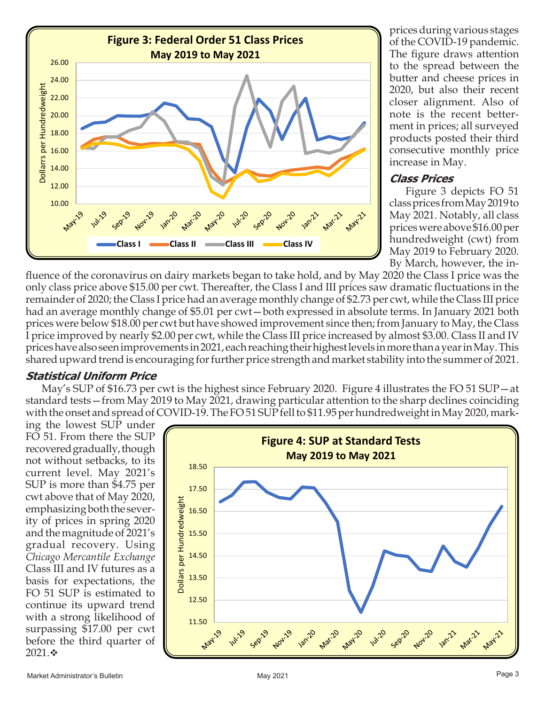

prices during various stages of the COVID-19 pandemic. The figure draws attention to the spread between the butter and cheese prices in 2020, but also their recent closer alignment. Also of note is the recent betterment in prices; all surveyed products posted their third consecutive monthly price increase in May.

#### **Class Prices**

Figure 3 depicts FO 51 class prices from May 2019 to May 2021. Notably, all class prices were above \$16.00 per hundredweight (cwt) from May 2019 to February 2020. By March, however, the in-

fluence of the coronavirus on dairy markets began to take hold, and by May 2020 the Class I price was the only class price above \$15.00 per cwt. Thereafter, the Class I and III prices saw dramatic fluctuations in the remainder of 2020; the Class I price had an average monthly change of \$2.73 per cwt, while the Class III price had an average monthly change of \$5.01 per cwt—both expressed in absolute terms. In January 2021 both prices were below \$18.00 per cwt but have showed improvement since then; from January to May, the Class I price improved by nearly \$2.00 per cwt, while the Class III price increased by almost \$3.00. Class II and IV prices have also seen improvements in 2021, each reaching their highest levels in more than a year in May. This shared upward trend is encouraging for further price strength and market stability into the summer of 2021.

### **Statistical Uniform Price**

May's SUP of \$16.73 per cwt is the highest since February 2020. Figure 4 illustrates the FO 51 SUP—at standard tests—from May 2019 to May 2021, drawing particular attention to the sharp declines coinciding with the onset and spread of COVID-19. The FO 51 SUP fell to \$11.95 per hundredweight in May 2020, mark-

ing the lowest SUP under FO 51. From there the SUP recovered gradually, though not without setbacks, to its current level. May 2021's SUP is more than \$4.75 per cwt above that of May 2020, emphasizing both the severity of prices in spring 2020 and the magnitude of 2021's gradual recovery. Using *Chicago Mercantile Exchange* Class III and IV futures as a basis for expectations, the FO 51 SUP is estimated to continue its upward trend with a strong likelihood of surpassing \$17.00 per cwt before the third quarter of 2021. $\cdot$